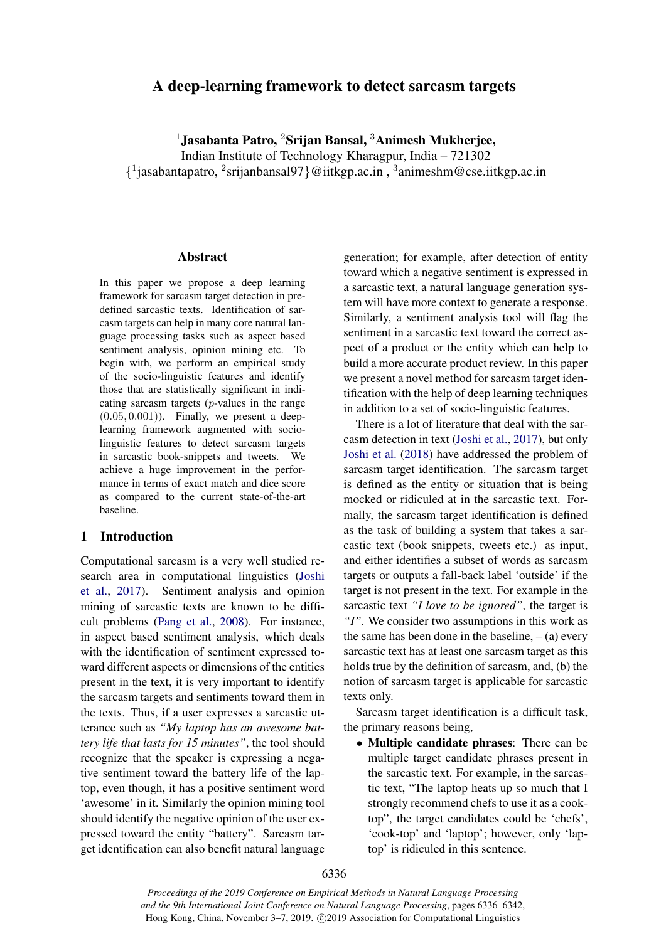# A deep-learning framework to detect sarcasm targets

 $1$ Jasabanta Patro,  $2$ Srijan Bansal,  $3$ Animesh Mukherjee,

Indian Institute of Technology Kharagpur, India – 721302

{ 1 jasabantapatro, <sup>2</sup> srijanbansal97}@iitkgp.ac.in , <sup>3</sup> animeshm@cse.iitkgp.ac.in

## Abstract

In this paper we propose a deep learning framework for sarcasm target detection in predefined sarcastic texts. Identification of sarcasm targets can help in many core natural language processing tasks such as aspect based sentiment analysis, opinion mining etc. To begin with, we perform an empirical study of the socio-linguistic features and identify those that are statistically significant in indicating sarcasm targets (p-values in the range  $(0.05, 0.001)$ . Finally, we present a deeplearning framework augmented with sociolinguistic features to detect sarcasm targets in sarcastic book-snippets and tweets. We achieve a huge improvement in the performance in terms of exact match and dice score as compared to the current state-of-the-art baseline.

## 1 Introduction

Computational sarcasm is a very well studied research area in computational linguistics [\(Joshi](#page-5-0) [et al.,](#page-5-0) [2017\)](#page-5-0). Sentiment analysis and opinion mining of sarcastic texts are known to be difficult problems [\(Pang et al.,](#page-5-1) [2008\)](#page-5-1). For instance, in aspect based sentiment analysis, which deals with the identification of sentiment expressed toward different aspects or dimensions of the entities present in the text, it is very important to identify the sarcasm targets and sentiments toward them in the texts. Thus, if a user expresses a sarcastic utterance such as *"My laptop has an awesome battery life that lasts for 15 minutes"*, the tool should recognize that the speaker is expressing a negative sentiment toward the battery life of the laptop, even though, it has a positive sentiment word 'awesome' in it. Similarly the opinion mining tool should identify the negative opinion of the user expressed toward the entity "battery". Sarcasm target identification can also benefit natural language

generation; for example, after detection of entity toward which a negative sentiment is expressed in a sarcastic text, a natural language generation system will have more context to generate a response. Similarly, a sentiment analysis tool will flag the sentiment in a sarcastic text toward the correct aspect of a product or the entity which can help to build a more accurate product review. In this paper we present a novel method for sarcasm target identification with the help of deep learning techniques in addition to a set of socio-linguistic features.

There is a lot of literature that deal with the sarcasm detection in text [\(Joshi et al.,](#page-5-0) [2017\)](#page-5-0), but only [Joshi et al.](#page-5-2) [\(2018\)](#page-5-2) have addressed the problem of sarcasm target identification. The sarcasm target is defined as the entity or situation that is being mocked or ridiculed at in the sarcastic text. Formally, the sarcasm target identification is defined as the task of building a system that takes a sarcastic text (book snippets, tweets etc.) as input, and either identifies a subset of words as sarcasm targets or outputs a fall-back label 'outside' if the target is not present in the text. For example in the sarcastic text *"I love to be ignored"*, the target is *"I"*. We consider two assumptions in this work as the same has been done in the baseline,  $-$  (a) every sarcastic text has at least one sarcasm target as this holds true by the definition of sarcasm, and, (b) the notion of sarcasm target is applicable for sarcastic texts only.

Sarcasm target identification is a difficult task, the primary reasons being,

• Multiple candidate phrases: There can be multiple target candidate phrases present in the sarcastic text. For example, in the sarcastic text, "The laptop heats up so much that I strongly recommend chefs to use it as a cooktop", the target candidates could be 'chefs', 'cook-top' and 'laptop'; however, only 'laptop' is ridiculed in this sentence.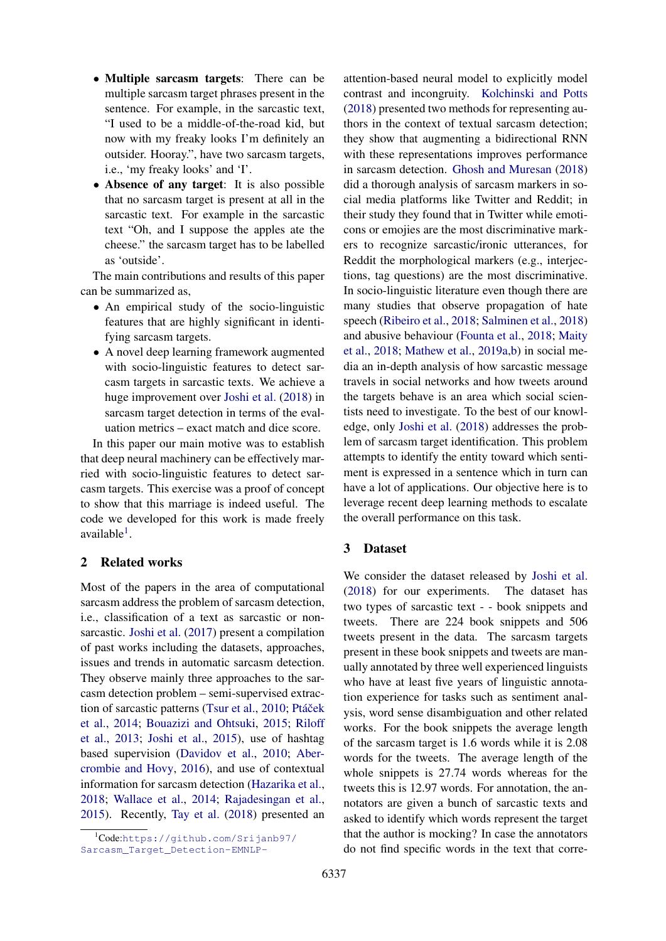- Multiple sarcasm targets: There can be multiple sarcasm target phrases present in the sentence. For example, in the sarcastic text, "I used to be a middle-of-the-road kid, but now with my freaky looks I'm definitely an outsider. Hooray.", have two sarcasm targets, i.e., 'my freaky looks' and 'I'.
- Absence of any target: It is also possible that no sarcasm target is present at all in the sarcastic text. For example in the sarcastic text "Oh, and I suppose the apples ate the cheese." the sarcasm target has to be labelled as 'outside'.

The main contributions and results of this paper can be summarized as,

- An empirical study of the socio-linguistic features that are highly significant in identifying sarcasm targets.
- A novel deep learning framework augmented with socio-linguistic features to detect sarcasm targets in sarcastic texts. We achieve a huge improvement over [Joshi et al.](#page-5-2) [\(2018\)](#page-5-2) in sarcasm target detection in terms of the evaluation metrics – exact match and dice score.

In this paper our main motive was to establish that deep neural machinery can be effectively married with socio-linguistic features to detect sarcasm targets. This exercise was a proof of concept to show that this marriage is indeed useful. The code we developed for this work is made freely available<sup>[1](#page-1-0)</sup>.

## 2 Related works

Most of the papers in the area of computational sarcasm address the problem of sarcasm detection, i.e., classification of a text as sarcastic or nonsarcastic. [Joshi et al.](#page-5-0) [\(2017\)](#page-5-0) present a compilation of past works including the datasets, approaches, issues and trends in automatic sarcasm detection. They observe mainly three approaches to the sarcasm detection problem – semi-supervised extrac-tion of sarcastic patterns [\(Tsur et al.,](#page-6-0) [2010;](#page-6-0) Ptáček [et al.,](#page-5-3) [2014;](#page-5-3) [Bouazizi and Ohtsuki,](#page-5-4) [2015;](#page-5-4) [Riloff](#page-5-5) [et al.,](#page-5-5) [2013;](#page-5-5) [Joshi et al.,](#page-5-6) [2015\)](#page-5-6), use of hashtag based supervision [\(Davidov et al.,](#page-5-7) [2010;](#page-5-7) [Aber](#page-5-8)[crombie and Hovy,](#page-5-8) [2016\)](#page-5-8), and use of contextual information for sarcasm detection [\(Hazarika et al.,](#page-5-9) [2018;](#page-5-9) [Wallace et al.,](#page-6-1) [2014;](#page-6-1) [Rajadesingan et al.,](#page-5-10) [2015\)](#page-5-10). Recently, [Tay et al.](#page-6-2) [\(2018\)](#page-6-2) presented an

attention-based neural model to explicitly model contrast and incongruity. [Kolchinski and Potts](#page-5-11) [\(2018\)](#page-5-11) presented two methods for representing authors in the context of textual sarcasm detection; they show that augmenting a bidirectional RNN with these representations improves performance in sarcasm detection. [Ghosh and Muresan](#page-5-12) [\(2018\)](#page-5-12) did a thorough analysis of sarcasm markers in social media platforms like Twitter and Reddit; in their study they found that in Twitter while emoticons or emojies are the most discriminative markers to recognize sarcastic/ironic utterances, for Reddit the morphological markers (e.g., interjections, tag questions) are the most discriminative. In socio-linguistic literature even though there are many studies that observe propagation of hate speech [\(Ribeiro et al.,](#page-5-13) [2018;](#page-5-13) [Salminen et al.,](#page-5-14) [2018\)](#page-5-14) and abusive behaviour [\(Founta et al.,](#page-5-15) [2018;](#page-5-15) [Maity](#page-5-16) [et al.,](#page-5-16) [2018;](#page-5-16) [Mathew et al.,](#page-5-17) [2019a,](#page-5-17)[b\)](#page-5-18) in social media an in-depth analysis of how sarcastic message travels in social networks and how tweets around the targets behave is an area which social scientists need to investigate. To the best of our knowledge, only [Joshi et al.](#page-5-2) [\(2018\)](#page-5-2) addresses the problem of sarcasm target identification. This problem attempts to identify the entity toward which sentiment is expressed in a sentence which in turn can have a lot of applications. Our objective here is to leverage recent deep learning methods to escalate the overall performance on this task.

### 3 Dataset

We consider the dataset released by [Joshi et al.](#page-5-2) [\(2018\)](#page-5-2) for our experiments. The dataset has two types of sarcastic text - - book snippets and tweets. There are 224 book snippets and 506 tweets present in the data. The sarcasm targets present in these book snippets and tweets are manually annotated by three well experienced linguists who have at least five years of linguistic annotation experience for tasks such as sentiment analysis, word sense disambiguation and other related works. For the book snippets the average length of the sarcasm target is 1.6 words while it is 2.08 words for the tweets. The average length of the whole snippets is 27.74 words whereas for the tweets this is 12.97 words. For annotation, the annotators are given a bunch of sarcastic texts and asked to identify which words represent the target that the author is mocking? In case the annotators do not find specific words in the text that corre-

<span id="page-1-0"></span><sup>1</sup>Code:[https://github.com/Srijanb97/](https://github.com/Srijanb97/Sarcasm_Target_Detection-EMNLP-) [Sarcasm\\_Target\\_Detection-EMNLP-](https://github.com/Srijanb97/Sarcasm_Target_Detection-EMNLP-)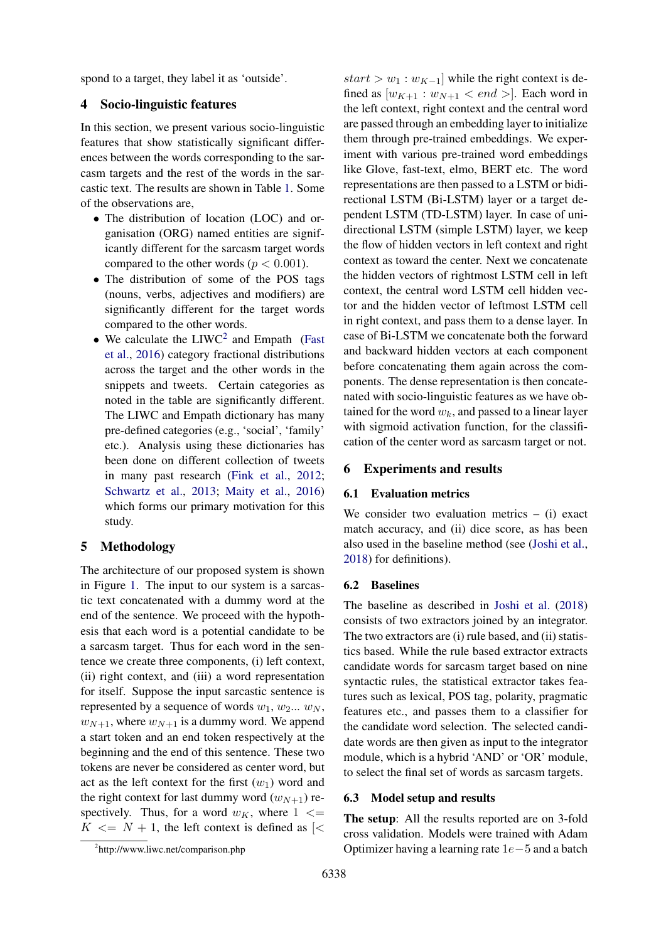spond to a target, they label it as 'outside'.

## 4 Socio-linguistic features

In this section, we present various socio-linguistic features that show statistically significant differences between the words corresponding to the sarcasm targets and the rest of the words in the sarcastic text. The results are shown in Table [1.](#page-3-0) Some of the observations are,

- The distribution of location (LOC) and organisation (ORG) named entities are significantly different for the sarcasm target words compared to the other words ( $p < 0.001$ ).
- The distribution of some of the POS tags (nouns, verbs, adjectives and modifiers) are significantly different for the target words compared to the other words.
- We calculate the  $LIWC<sup>2</sup>$  $LIWC<sup>2</sup>$  $LIWC<sup>2</sup>$  and Empath [\(Fast](#page-5-19) [et al.,](#page-5-19) [2016\)](#page-5-19) category fractional distributions across the target and the other words in the snippets and tweets. Certain categories as noted in the table are significantly different. The LIWC and Empath dictionary has many pre-defined categories (e.g., 'social', 'family' etc.). Analysis using these dictionaries has been done on different collection of tweets in many past research [\(Fink et al.,](#page-5-20) [2012;](#page-5-20) [Schwartz et al.,](#page-5-21) [2013;](#page-5-21) [Maity et al.,](#page-5-22) [2016\)](#page-5-22) which forms our primary motivation for this study.

## 5 Methodology

The architecture of our proposed system is shown in Figure [1.](#page-4-0) The input to our system is a sarcastic text concatenated with a dummy word at the end of the sentence. We proceed with the hypothesis that each word is a potential candidate to be a sarcasm target. Thus for each word in the sentence we create three components, (i) left context, (ii) right context, and (iii) a word representation for itself. Suppose the input sarcastic sentence is represented by a sequence of words  $w_1, w_2... w_N$ ,  $w_{N+1}$ , where  $w_{N+1}$  is a dummy word. We append a start token and an end token respectively at the beginning and the end of this sentence. These two tokens are never be considered as center word, but act as the left context for the first  $(w_1)$  word and the right context for last dummy word  $(w_{N+1})$  respectively. Thus, for a word  $w_K$ , where  $1 \leq$  $K \leq N + 1$ , the left context is defined as  $\leq$ 

 $start > w_1 : w_{K-1}$  while the right context is defined as  $[w_{K+1}: w_{N+1} < end >]$ . Each word in the left context, right context and the central word are passed through an embedding layer to initialize them through pre-trained embeddings. We experiment with various pre-trained word embeddings like Glove, fast-text, elmo, BERT etc. The word representations are then passed to a LSTM or bidirectional LSTM (Bi-LSTM) layer or a target dependent LSTM (TD-LSTM) layer. In case of unidirectional LSTM (simple LSTM) layer, we keep the flow of hidden vectors in left context and right context as toward the center. Next we concatenate the hidden vectors of rightmost LSTM cell in left context, the central word LSTM cell hidden vector and the hidden vector of leftmost LSTM cell in right context, and pass them to a dense layer. In case of Bi-LSTM we concatenate both the forward and backward hidden vectors at each component before concatenating them again across the components. The dense representation is then concatenated with socio-linguistic features as we have obtained for the word  $w_k$ , and passed to a linear layer with sigmoid activation function, for the classification of the center word as sarcasm target or not.

#### 6 Experiments and results

#### 6.1 Evaluation metrics

We consider two evaluation metrics  $-$  (i) exact match accuracy, and (ii) dice score, as has been also used in the baseline method (see [\(Joshi et al.,](#page-5-2) [2018\)](#page-5-2) for definitions).

### 6.2 Baselines

The baseline as described in [Joshi et al.](#page-5-2) [\(2018\)](#page-5-2) consists of two extractors joined by an integrator. The two extractors are (i) rule based, and (ii) statistics based. While the rule based extractor extracts candidate words for sarcasm target based on nine syntactic rules, the statistical extractor takes features such as lexical, POS tag, polarity, pragmatic features etc., and passes them to a classifier for the candidate word selection. The selected candidate words are then given as input to the integrator module, which is a hybrid 'AND' or 'OR' module, to select the final set of words as sarcasm targets.

### 6.3 Model setup and results

The setup: All the results reported are on 3-fold cross validation. Models were trained with Adam Optimizer having a learning rate 1e−5 and a batch

<span id="page-2-0"></span><sup>2</sup> http://www.liwc.net/comparison.php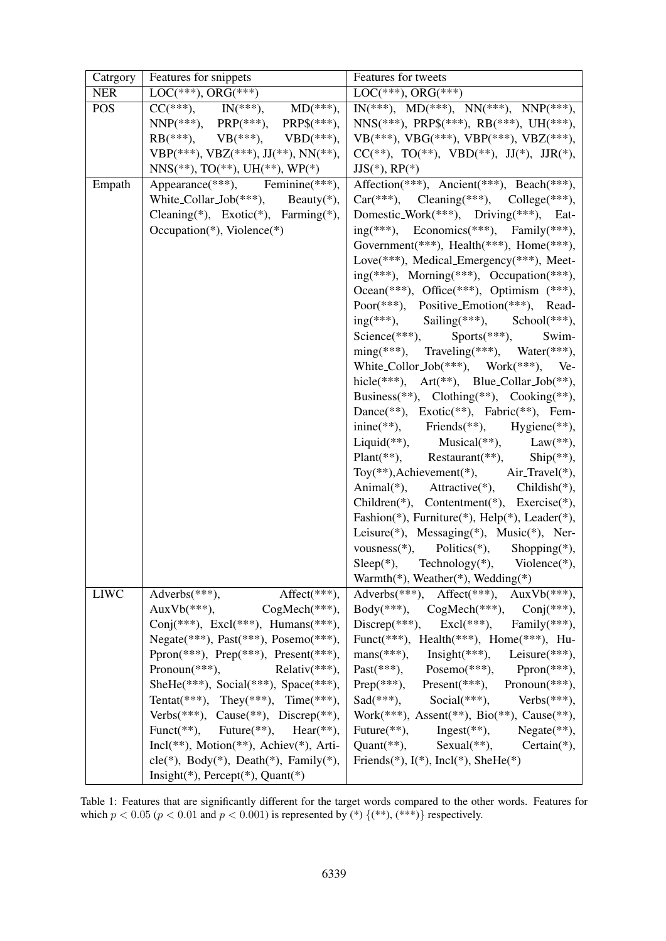<span id="page-3-0"></span>

| Catrgory    | Features for snippets                                                                                                  | Features for tweets                                                       |  |  |
|-------------|------------------------------------------------------------------------------------------------------------------------|---------------------------------------------------------------------------|--|--|
| <b>NER</b>  | $LOC(***), ORG(***)$                                                                                                   | $LOC(***), ORG(***)$                                                      |  |  |
| <b>POS</b>  | $\frac{\text{EOC}}{\text{CC}(***)}$ , $\frac{\text{CNC}}{\text{INC}(***)}$ , $\frac{\text{MD}(***)}{\text{MD}(***)}$ , | $IN(***)$ , $MD(***), NN(***), NN(***), NN(P(***),$                       |  |  |
|             | $NNP(***), PRP(***), PRP$(***),$                                                                                       | $NNS(***), PRPS(***), RB(***), UH(***),$                                  |  |  |
|             | $RB(***), \quad VB(***), \quad VBD(***),$                                                                              | VB(***), VBG(***), VBP(***), VBZ(***),                                    |  |  |
|             | VBP(***), VBZ(***), JJ(**), NN(**),                                                                                    | $CC(**), TO(**), VBD(**), JJ(*), JJR(*),$                                 |  |  |
|             | $NNS(**), TO(**), UH(**), WP(*)$                                                                                       | $JJS(*), RP(*)$                                                           |  |  |
| Empath      | Appearance(***), Feminine(***),                                                                                        | Affection(***), Ancient(***), Beach(***),                                 |  |  |
|             | White_Collar_Job(***), Beauty(*),                                                                                      | $Car(***),$ Cleaning(***), College(***),                                  |  |  |
|             | Cleaning(*), Exotic(*), Farming(*),                                                                                    | Domestic_Work(***), Driving(***), Eat-                                    |  |  |
|             | Occupation(*), Violence(*)                                                                                             | $ing(***),$ Economics(***), Family(***),                                  |  |  |
|             |                                                                                                                        | Government(***), Health(***), Home(***),                                  |  |  |
|             |                                                                                                                        | Love(***), Medical Emergency(***), Meet-                                  |  |  |
|             |                                                                                                                        | $ing(***),$ Morning(***), Occupation(***),                                |  |  |
|             |                                                                                                                        | Ocean(***), Office(***), Optimism (***),                                  |  |  |
|             |                                                                                                                        | Poor(***), Positive_Emotion(***), Read-                                   |  |  |
|             |                                                                                                                        | ing(***), Sailing(***), School(***),                                      |  |  |
|             |                                                                                                                        | Science(***), Sports(***),<br>Swim-                                       |  |  |
|             |                                                                                                                        | $\text{ming}(***), \quad \text{Traveling}(***), \quad \text{Water}(***),$ |  |  |
|             |                                                                                                                        | White_Collor_Job(***), Work(***), Ve-                                     |  |  |
|             |                                                                                                                        | hicle(***), $Art(**)$ , Blue_Collar_Job(**),                              |  |  |
|             |                                                                                                                        | Business(**), Clothing(**), Cooking(**),                                  |  |  |
|             |                                                                                                                        | Dance(**), Exotic(**), Fabric(**), Fem-                                   |  |  |
|             |                                                                                                                        | $\text{inine}(**)$ , Friends(**), Hygiene(**),                            |  |  |
|             |                                                                                                                        | Liquid(**), Musical(**), Law(**),                                         |  |  |
|             |                                                                                                                        | Plant(**), Restaurant(**), Ship(**),                                      |  |  |
|             |                                                                                                                        | Toy(**), Achievement(*), Air_Travel(*),                                   |  |  |
|             |                                                                                                                        | Animal(*), Attractive(*), Childish(*),                                    |  |  |
|             |                                                                                                                        | Children(*), Contentment(*), Exercise(*),                                 |  |  |
|             |                                                                                                                        | Fashion(*), Furniture(*), Help(*), Leader(*),                             |  |  |
|             |                                                                                                                        | Leisure(*), Messaging(*), Music(*), Ner-                                  |  |  |
|             |                                                                                                                        | vousness(*), Politics(*), Shopping(*),                                    |  |  |
|             |                                                                                                                        | Technology(*), Violence(*),<br>$Sleep(*),$                                |  |  |
|             |                                                                                                                        | Warmth(*), Weather(*), Wedding(*)                                         |  |  |
| <b>LIWC</b> | $Adverbs$ <sup>***</sup> ), $Afterlet$ <sup>***</sup> ),                                                               | $Adverbs(***),$ $Aftertt(***),$ $AuxVb(***),$                             |  |  |
|             | AuxVb(***), $CogMech(***),$                                                                                            | $Body(***), \quad CogMech(***), \quad Conj(***),$                         |  |  |
|             | Conj(***), Excl(***), Humans(***),                                                                                     | Discrep(***), $\text{Excl}$ (***), $\text{Family}$ (***),                 |  |  |
|             | Negate(***), Past(***), Posemo(***),                                                                                   | Funct(***), Health(***), Home(***), Hu-                                   |  |  |
|             | Ppron(***), Prep(***), Present(***),                                                                                   | mans(***), Insight(***), Leisure(***),                                    |  |  |
|             | Pronoun(***), $\text{Relative}$ (***),                                                                                 | $Fast(***), \qquad \text{Posemo}(***), \qquad \text{Ppron(***)},$         |  |  |
|             | SheHe(***), Social(***), Space(***),                                                                                   | Prep(***), Present(***), Pronoun(***),                                    |  |  |
|             | Tentat(***), They(***), Time(***),                                                                                     | $Sad(***),$ $Social(***),$ $Verbs(***),$                                  |  |  |
|             | Verbs $(***)$ , Cause $(**)$ , Discrep $(**)$ ,                                                                        | Work(***), Assent(**), Bio(**), Cause(**),                                |  |  |
|             | Funct(**), Future(**), Hear(**),                                                                                       | Future(**), Ingest(**), Negate(**),                                       |  |  |
|             | $Incl(**), Motion(**), Achiev(*), Arti-$                                                                               | Quant(**), Sexual(**), Certain(*),                                        |  |  |
|             | $cle(*), Body(*), Death(*), Family(*),$                                                                                | Friends(*), $I(*)$ , Incl(*), SheHe(*)                                    |  |  |
|             | Insight(*), Percept(*), Quant(*)                                                                                       |                                                                           |  |  |

Table 1: Features that are significantly different for the target words compared to the other words. Features for which  $p < 0.05$  ( $p < 0.01$  and  $p < 0.001$ ) is represented by (\*) {(\*\*), (\*\*\*)} respectively.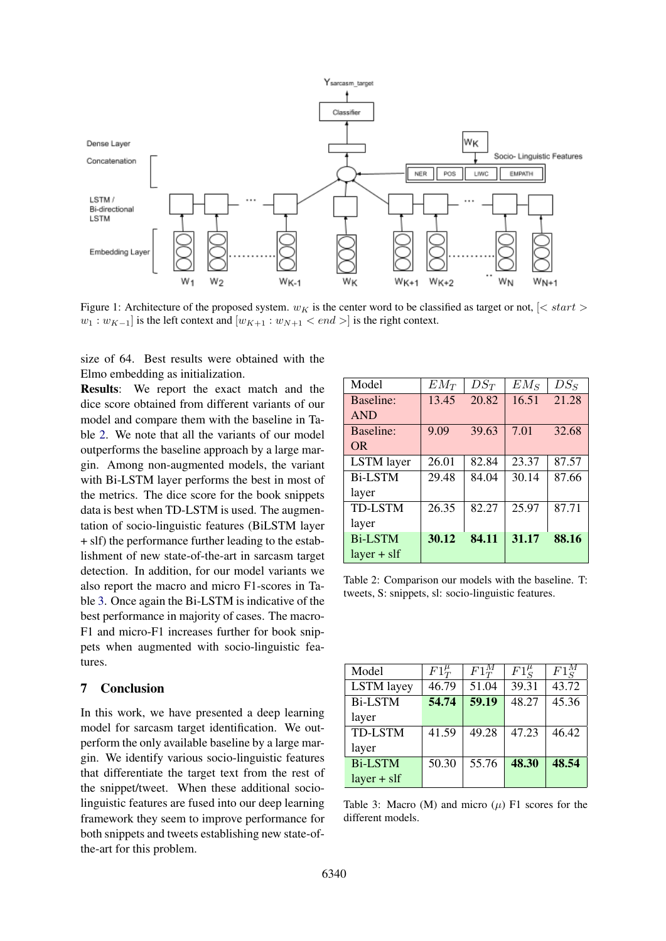<span id="page-4-0"></span>

Figure 1: Architecture of the proposed system.  $w_K$  is the center word to be classified as target or not,  $\leq$  start  $>$  $w_1 : w_{K-1}$ ] is the left context and  $[w_{K+1} : w_{N+1} < end >]$  is the right context.

size of 64. Best results were obtained with the Elmo embedding as initialization.

Results: We report the exact match and the dice score obtained from different variants of our model and compare them with the baseline in Table [2.](#page-4-1) We note that all the variants of our model outperforms the baseline approach by a large margin. Among non-augmented models, the variant with Bi-LSTM layer performs the best in most of the metrics. The dice score for the book snippets data is best when TD-LSTM is used. The augmentation of socio-linguistic features (BiLSTM layer + slf) the performance further leading to the establishment of new state-of-the-art in sarcasm target detection. In addition, for our model variants we also report the macro and micro F1-scores in Table [3.](#page-4-2) Once again the Bi-LSTM is indicative of the best performance in majority of cases. The macro-F1 and micro-F1 increases further for book snippets when augmented with socio-linguistic features.

## 7 Conclusion

In this work, we have presented a deep learning model for sarcasm target identification. We outperform the only available baseline by a large margin. We identify various socio-linguistic features that differentiate the target text from the rest of the snippet/tweet. When these additional sociolinguistic features are fused into our deep learning framework they seem to improve performance for both snippets and tweets establishing new state-ofthe-art for this problem.

<span id="page-4-1"></span>

| Model             | $EM_T$ | $DS_T$ | $EM_S$ | $DS_S$ |
|-------------------|--------|--------|--------|--------|
| Baseline:         | 13.45  | 20.82  | 16.51  | 21.28  |
| <b>AND</b>        |        |        |        |        |
| Baseline:         | 9.09   | 39.63  | 7.01   | 32.68  |
| <b>OR</b>         |        |        |        |        |
| <b>LSTM</b> layer | 26.01  | 82.84  | 23.37  | 87.57  |
| <b>Bi-LSTM</b>    | 29.48  | 84.04  | 30.14  | 87.66  |
| layer             |        |        |        |        |
| <b>TD-LSTM</b>    | 26.35  | 82.27  | 25.97  | 87.71  |
| layer             |        |        |        |        |
| <b>Bi-LSTM</b>    | 30.12  | 84.11  | 31.17  | 88.16  |
| $layer + sIf$     |        |        |        |        |

Table 2: Comparison our models with the baseline. T: tweets, S: snippets, sl: socio-linguistic features.

<span id="page-4-2"></span>

| Model             | $F1^{\mu}_{T}$ | $F1_T^M$ | $F1_c^{\mu}$ | $F1^M_{\rm c}$ |
|-------------------|----------------|----------|--------------|----------------|
| <b>LSTM</b> layey | 46.79          | 51.04    | 39.31        | 43.72          |
| <b>Bi-LSTM</b>    | 54.74          | 59.19    | 48.27        | 45.36          |
| layer             |                |          |              |                |
| <b>TD-LSTM</b>    | 41.59          | 49.28    | 47.23        | 46.42          |
| layer             |                |          |              |                |
| <b>Bi-LSTM</b>    | 50.30          | 55.76    | 48.30        | 48.54          |
| $layer + sIf$     |                |          |              |                |

Table 3: Macro (M) and micro  $(\mu)$  F1 scores for the different models.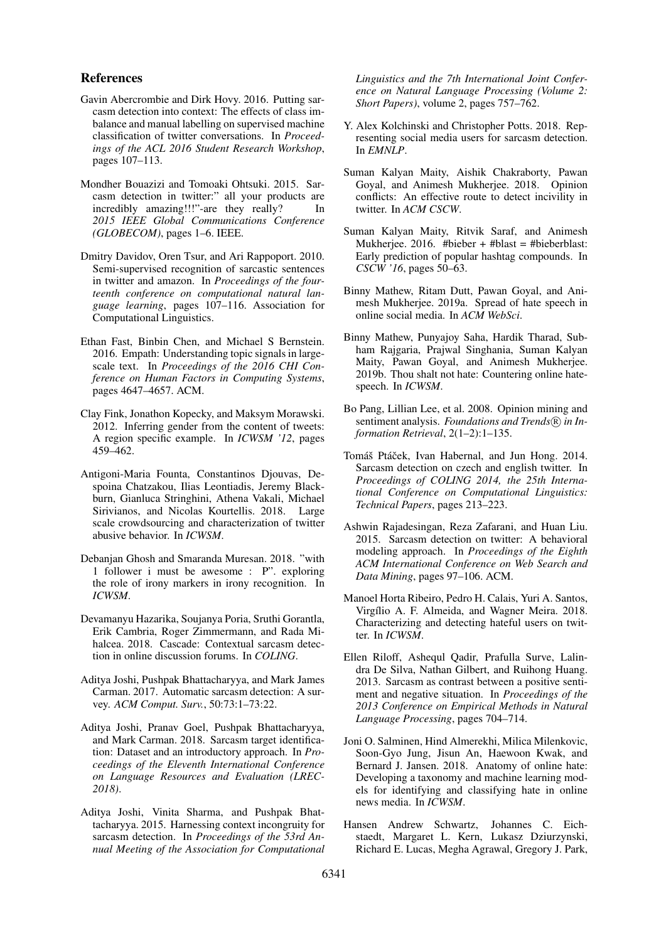### References

- <span id="page-5-8"></span>Gavin Abercrombie and Dirk Hovy. 2016. Putting sarcasm detection into context: The effects of class imbalance and manual labelling on supervised machine classification of twitter conversations. In *Proceedings of the ACL 2016 Student Research Workshop*, pages 107–113.
- <span id="page-5-4"></span>Mondher Bouazizi and Tomoaki Ohtsuki. 2015. Sarcasm detection in twitter:" all your products are incredibly amazing!!!"-are they really? In *2015 IEEE Global Communications Conference (GLOBECOM)*, pages 1–6. IEEE.
- <span id="page-5-7"></span>Dmitry Davidov, Oren Tsur, and Ari Rappoport. 2010. Semi-supervised recognition of sarcastic sentences in twitter and amazon. In *Proceedings of the fourteenth conference on computational natural language learning*, pages 107–116. Association for Computational Linguistics.
- <span id="page-5-19"></span>Ethan Fast, Binbin Chen, and Michael S Bernstein. 2016. Empath: Understanding topic signals in largescale text. In *Proceedings of the 2016 CHI Conference on Human Factors in Computing Systems*, pages 4647–4657. ACM.
- <span id="page-5-20"></span>Clay Fink, Jonathon Kopecky, and Maksym Morawski. 2012. Inferring gender from the content of tweets: A region specific example. In *ICWSM '12*, pages 459–462.
- <span id="page-5-15"></span>Antigoni-Maria Founta, Constantinos Djouvas, Despoina Chatzakou, Ilias Leontiadis, Jeremy Blackburn, Gianluca Stringhini, Athena Vakali, Michael Sirivianos, and Nicolas Kourtellis. 2018. Large scale crowdsourcing and characterization of twitter abusive behavior. In *ICWSM*.
- <span id="page-5-12"></span>Debanjan Ghosh and Smaranda Muresan. 2018. "with 1 follower i must be awesome : P". exploring the role of irony markers in irony recognition. In *ICWSM*.
- <span id="page-5-9"></span>Devamanyu Hazarika, Soujanya Poria, Sruthi Gorantla, Erik Cambria, Roger Zimmermann, and Rada Mihalcea. 2018. Cascade: Contextual sarcasm detection in online discussion forums. In *COLING*.
- <span id="page-5-0"></span>Aditya Joshi, Pushpak Bhattacharyya, and Mark James Carman. 2017. Automatic sarcasm detection: A survey. *ACM Comput. Surv.*, 50:73:1–73:22.
- <span id="page-5-2"></span>Aditya Joshi, Pranav Goel, Pushpak Bhattacharyya, and Mark Carman. 2018. Sarcasm target identification: Dataset and an introductory approach. In *Proceedings of the Eleventh International Conference on Language Resources and Evaluation (LREC-2018)*.
- <span id="page-5-6"></span>Aditya Joshi, Vinita Sharma, and Pushpak Bhattacharyya. 2015. Harnessing context incongruity for sarcasm detection. In *Proceedings of the 53rd Annual Meeting of the Association for Computational*

*Linguistics and the 7th International Joint Conference on Natural Language Processing (Volume 2: Short Papers)*, volume 2, pages 757–762.

- <span id="page-5-11"></span>Y. Alex Kolchinski and Christopher Potts. 2018. Representing social media users for sarcasm detection. In *EMNLP*.
- <span id="page-5-16"></span>Suman Kalyan Maity, Aishik Chakraborty, Pawan Goyal, and Animesh Mukherjee. 2018. Opinion conflicts: An effective route to detect incivility in twitter. In *ACM CSCW*.
- <span id="page-5-22"></span>Suman Kalyan Maity, Ritvik Saraf, and Animesh Mukherjee. 2016. #bieber + #blast = #bieberblast: Early prediction of popular hashtag compounds. In *CSCW '16*, pages 50–63.
- <span id="page-5-17"></span>Binny Mathew, Ritam Dutt, Pawan Goyal, and Animesh Mukherjee. 2019a. Spread of hate speech in online social media. In *ACM WebSci*.
- <span id="page-5-18"></span>Binny Mathew, Punyajoy Saha, Hardik Tharad, Subham Rajgaria, Prajwal Singhania, Suman Kalyan Maity, Pawan Goyal, and Animesh Mukherjee. 2019b. Thou shalt not hate: Countering online hatespeech. In *ICWSM*.
- <span id="page-5-1"></span>Bo Pang, Lillian Lee, et al. 2008. Opinion mining and sentiment analysis. *Foundations and Trends*® in In*formation Retrieval*, 2(1–2):1–135.
- <span id="page-5-3"></span>Tomáš Ptáček, Ivan Habernal, and Jun Hong. 2014. Sarcasm detection on czech and english twitter. In *Proceedings of COLING 2014, the 25th International Conference on Computational Linguistics: Technical Papers*, pages 213–223.
- <span id="page-5-10"></span>Ashwin Rajadesingan, Reza Zafarani, and Huan Liu. 2015. Sarcasm detection on twitter: A behavioral modeling approach. In *Proceedings of the Eighth ACM International Conference on Web Search and Data Mining*, pages 97–106. ACM.
- <span id="page-5-13"></span>Manoel Horta Ribeiro, Pedro H. Calais, Yuri A. Santos, Virgílio A. F. Almeida, and Wagner Meira. 2018. Characterizing and detecting hateful users on twitter. In *ICWSM*.
- <span id="page-5-5"></span>Ellen Riloff, Ashequl Qadir, Prafulla Surve, Lalindra De Silva, Nathan Gilbert, and Ruihong Huang. 2013. Sarcasm as contrast between a positive sentiment and negative situation. In *Proceedings of the 2013 Conference on Empirical Methods in Natural Language Processing*, pages 704–714.
- <span id="page-5-14"></span>Joni O. Salminen, Hind Almerekhi, Milica Milenkovic, Soon-Gyo Jung, Jisun An, Haewoon Kwak, and Bernard J. Jansen. 2018. Anatomy of online hate: Developing a taxonomy and machine learning models for identifying and classifying hate in online news media. In *ICWSM*.
- <span id="page-5-21"></span>Hansen Andrew Schwartz, Johannes C. Eichstaedt, Margaret L. Kern, Lukasz Dziurzynski, Richard E. Lucas, Megha Agrawal, Gregory J. Park,